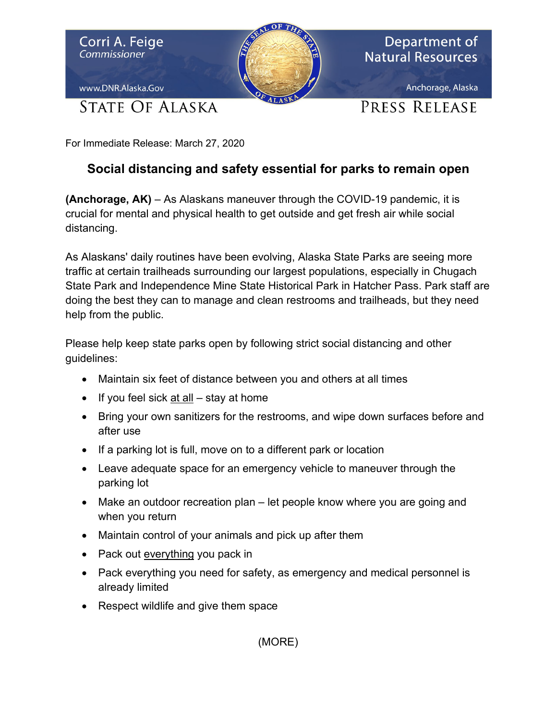

For Immediate Release: March 27, 2020

## **Social distancing and safety essential for parks to remain open**

**(Anchorage, AK)** – As Alaskans maneuver through the COVID-19 pandemic, it is crucial for mental and physical health to get outside and get fresh air while social distancing.

As Alaskans' daily routines have been evolving, Alaska State Parks are seeing more traffic at certain trailheads surrounding our largest populations, especially in Chugach State Park and Independence Mine State Historical Park in Hatcher Pass. Park staff are doing the best they can to manage and clean restrooms and trailheads, but they need help from the public.

Please help keep state parks open by following strict social distancing and other guidelines:

- Maintain six feet of distance between you and others at all times
- If you feel sick  $\frac{at}{all}$  stay at home
- Bring your own sanitizers for the restrooms, and wipe down surfaces before and after use
- If a parking lot is full, move on to a different park or location
- Leave adequate space for an emergency vehicle to maneuver through the parking lot
- Make an outdoor recreation plan let people know where you are going and when you return
- Maintain control of your animals and pick up after them
- Pack out everything you pack in
- Pack everything you need for safety, as emergency and medical personnel is already limited
- Respect wildlife and give them space

(MORE)